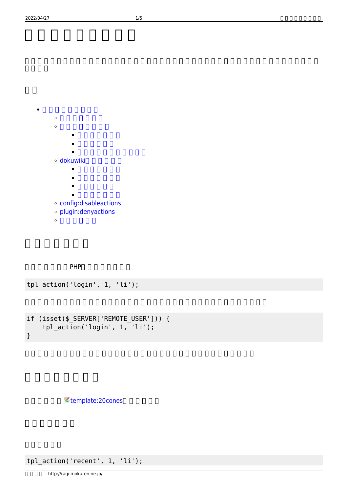```
\circ\circ\blacksquaredokuwiki
          \blacksquare\blacksquare\blacksquareconfig:disableactions
plugin:denyactions
```
PHP

 $\ddot{\circ}$ 

```
tpl_action('login', 1, 'li');
```

```
if (isset($ SERVER['REMOTE USER'])) {
     tpl_action('login', 1, 'li');
}
```
ミ[template:20cones](https://www.dokuwiki.org/template%3A20cones)

tpl\_action('recent', 1, 'li');

 $\bullet$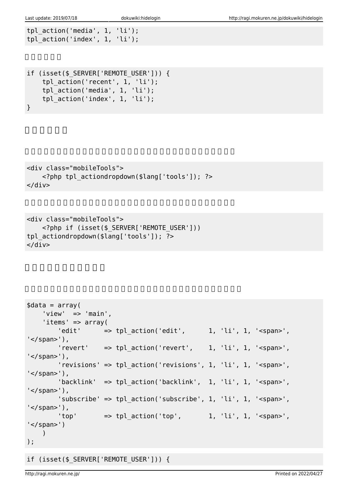```
tpl_action('media', 1, 'li');
tpl_action('index', 1, 'li');
```

```
if (isset($_SERVER['REMOTE_USER'])) {
     tpl_action('recent', 1, 'li');
     tpl_action('media', 1, 'li');
    tpl_action('index', 1, 'li');
}
```

```
<div class="mobileTools">
     <?php tpl_actiondropdown($lang['tools']); ?>
\langlediv>
```

```
<div class="mobileTools">
    <?php if (isset($_SERVER['REMOTE_USER']))
tpl actiondropdown($lang['tools']); ?>
</div>
```

```
\text{sdata} = \text{array}(
    'view' => 'main',
     'items' => array(
        'edit' \Rightarrow tpl action('edit', 1, 'li', 1, '<span>',
'</span>'),
        'revert' => tpl action('revert', 1, 'li', 1, '<span>',
'</span>'),
         'revisions' => tpl_action('revisions', 1, 'li', 1, '<span>',
'</span>'),
        'backlink' => tpl action('backlink', 1, 'li', 1, '<span>',
'</span>'),
         'subscribe' => tpl_action('subscribe', 1, 'li', 1, '<span>',
'</span>'),
        'top' \Rightarrow tpl_action('top', 1, 'li', 1, '<span>',
'</span>')
    )
);
```
## if (isset(\$\_SERVER['REMOTE\_USER'])) {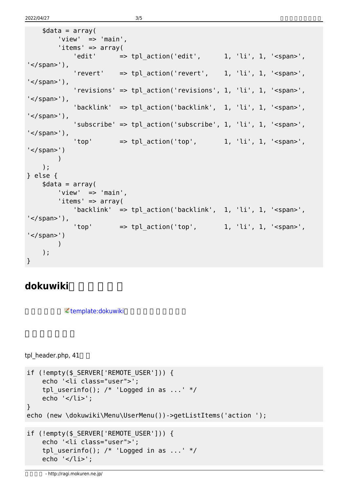```
\text{sdata} = \text{array}(
         'view' \Rightarrow 'main',
         'items' \Rightarrow array(
             'edit' \Rightarrow tpl action('edit', \qquad 1, 'li', 1, '<span>',
'</span>'),
             'revert' => tpl\_action('revert', 1, 'li', 1, '<span>'','</span>'),
              'revisions' => tpl_action('revisions', 1, 'li', 1, '<span>',
'</span>'),
             'backlink' => tpl action('backlink', 1, 'li', 1, '<span>',
'</span>'),
             'subscribe' => tpl action('subscribe', 1, 'li', 1, '<span>',
'</span>'),
             'top' \Rightarrow tpl action('top', 1, 'li', 1, '<span>',
'</span>')
        )
     );
} else {
    \text{4}data = array(
         'view' => 'main',
         'items' \Rightarrow array(
              'backlink' => tpl_action('backlink', 1, 'li', 1, '<span>',
'</span>'),
             'top' \Rightarrow tpl action('top', 1, 'li', 1, '<span>',
'</span>')
       \rightarrow );
}
```
## **dokuwikiテンプレート**

 $\prec$  [template:dokuwiki](https://www.dokuwiki.org/template%3Adokuwiki)

tpl  $header.php, 41$ 

```
if (!empty($_SERVER['REMOTE_USER'])) {
     echo '<li class="user">';
    tpl userinfo(); /* 'Logged in as ...' */echo \ensuremath{′}\xspace </li>\ensuremath{′}\xspace ;
}
echo (new \dokuwiki\Menu\UserMenu())->getListItems('action ');
if (!empty($ SERVER['REMOTE USER'])) {
     echo '<li class="user">';
    tpl userinfo(); /* 'Logged in as ...' */ echo '</li>';
```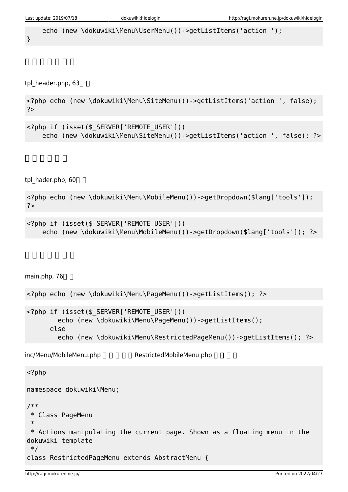echo (new \dokuwiki\Menu\UserMenu())->qetListItems('action ');

}

tpl header.php, 63

<?php echo (new \dokuwiki\Menu\SiteMenu())->getListItems('action ', false); ?>

```
<?php if (isset($_SERVER['REMOTE_USER']))
    echo (new \dokuwiki\Menu\SiteMenu())->getListItems('action ', false); ?>
```
tpl\_hader.php, 60

<?php echo (new \dokuwiki\Menu\MobileMenu())->getDropdown(\$lang['tools']); ?>

```
<?php if (isset($_SERVER['REMOTE_USER']))
    echo (new \dokuwiki\Menu\MobileMenu())->getDropdown($lang['tools']); ?>
```
main.php, 76

```
<?php echo (new \dokuwiki\Menu\PageMenu())->getListItems(); ?>
<?php if (isset($_SERVER['REMOTE_USER']))
        echo (new \dokuwiki\Menu\PageMenu())->getListItems();
       else
        echo (new \dokuwiki\Menu\RestrictedPageMenu())->getListItems(); ?>
inc/Menu/MobileMenu.php RestrictedMobileMenu.php
<?php
namespace dokuwiki\Menu;
/**
```

```
 * Class PageMenu
 *
 * Actions manipulating the current page. Shown as a floating menu in the
dokuwiki template
 */
class RestrictedPageMenu extends AbstractMenu {
```